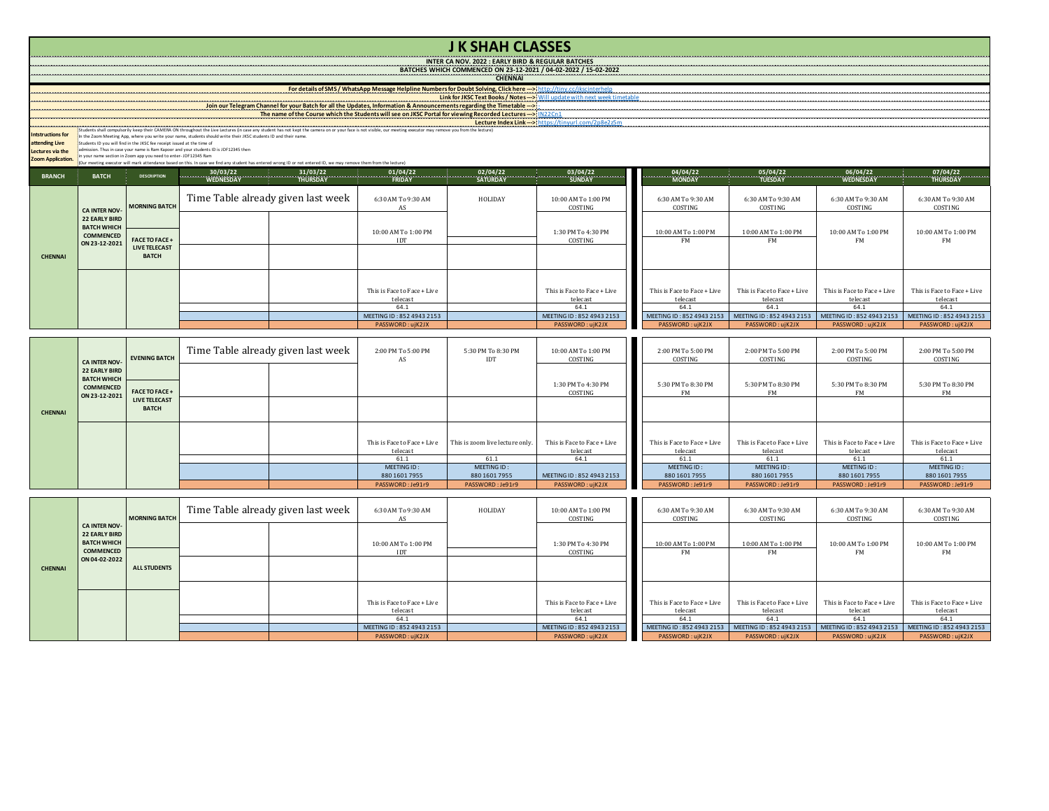## **J K SHAH CLASSES**

**INTER CA NOV. 2022 : EARLY BIRD & REGULAR BATCHES BATCHES WHICH COMMENCED ON 23-12-2021 / 04-02-2022 / 15-02-2022**

**CHENNAI** 

**For details of SMS / WhatsApp Message Helpline Numbers for Doubt Solving, Click here --->** http://tiny.cc/jkscinterhelp **Link for JKSC Text Books / Notes --->** Will update with next week timetable

## **Join our Telegram Channel for your Batch for all the Updates, Information & Announcements regarding the Timetable --->** - **The name of the Course which the Students will see on JKSC Portal for viewing Recorded Lectures --->** IN22Cn1 **Lecture Index Link --->** https://tinyurl.com/2p8e2z5m Students shall compulsorily keep their CAMERA ON throughout the Live Lectures (in case any student has not kept the camera on or your face is not visible, our meeting executor may remove you from the lecture) In the Zoom Meeting App, where you write your name, students should write their JKSC students ID and their name. Students ID you will find in the JKSC fee receipt issued at the time of admission. Thus in case your name is Ram Kapoor and your students ID is JDF12345 then in your name section in Zoom app you need to enter- JDF12345 Ram (Our meeting executor will mark attendance based on this. In case we find any student has entered wrong ID or not entered ID, we may remove them from the lecture)

**Intstructions for** 

**attending Live** 

**Lectures via the** 

**Zoom Application.**

| <b>BRANCH</b>  | <b>BATCH</b>                               | <b>DESCRIPTION</b>                 |                                    |                             |         |                                |                               |                               |                               | $\begin{bmatrix} 04/04/22 & 05/04/22 & 05/04/22 & 06/04/22 & 07/04/22 & 07/04/22 & 07/04/22 & 07/04/22 & 07/04/22 & 07/04/22 & 07/04/22 & 07/04/22 & 07/04/22 & 07/04/22 & 07/04/22 & 07/04/22 & 07/04/22 & 07/04/22 & 07/04/22 & 07/04/22 & 07/04/22 & 07/$ |
|----------------|--------------------------------------------|------------------------------------|------------------------------------|-----------------------------|---------|--------------------------------|-------------------------------|-------------------------------|-------------------------------|--------------------------------------------------------------------------------------------------------------------------------------------------------------------------------------------------------------------------------------------------------------|
|                |                                            |                                    |                                    |                             |         |                                |                               |                               |                               |                                                                                                                                                                                                                                                              |
|                |                                            | <b>CA INTER NOV-</b> MORNING BATCH | Time Table already given last week | 6:30 AM To 9:30 AM<br>AS    | HOLIDAY | 10:00 AM To 1:00 PM<br>COSTING | 6:30 AM To 9:30 AM<br>COSTING | 6:30 AM To 9:30 AM<br>COSTING | 6:30 AM To 9:30 AM<br>COSTING | 6:30 AM To 9:30 AM<br>COSTING                                                                                                                                                                                                                                |
|                | <b>22 EARLY BIRD</b><br><b>BATCH WHICH</b> |                                    |                                    | 10:00 AM To 1:00 PM         |         | 1:30 PM To 4:30 PM             | 10:00 AM To 1:00 PM           | 10:00 AM To 1:00 PM           | 10:00 AM To 1:00 PM           | 10:00 AM To 1:00 PM                                                                                                                                                                                                                                          |
|                | <b>COMMENCED</b>                           | <b>FACE TO FACE+</b>               |                                    | <b>IDT</b>                  |         | COSTING                        | <b>FM</b>                     | <b>FM</b>                     | <b>FM</b>                     | FM                                                                                                                                                                                                                                                           |
| <b>CHENNAI</b> | ON 23-12-2021                              | LIVE TELECAST<br><b>BATCH</b>      |                                    |                             |         |                                |                               |                               |                               |                                                                                                                                                                                                                                                              |
|                |                                            |                                    |                                    |                             |         |                                |                               |                               |                               |                                                                                                                                                                                                                                                              |
|                |                                            |                                    |                                    |                             |         |                                |                               |                               |                               |                                                                                                                                                                                                                                                              |
|                |                                            |                                    |                                    | This is Face to Face + Live |         | This is Face to Face + Live    | This is Face to Face + Live   | This is Face to Face + Live   | This is Face to Face + Live   | This is Face to Face + Live                                                                                                                                                                                                                                  |
|                |                                            |                                    |                                    | telecast                    |         | telecast                       | telecast                      | telecast                      | telecast                      | telecast                                                                                                                                                                                                                                                     |
|                |                                            |                                    |                                    | 64.1                        |         | 64.1                           | 64.1                          | 64.1                          | 64.1                          | 64.1                                                                                                                                                                                                                                                         |
|                |                                            |                                    |                                    | MEETING ID: 852 4943 2153   |         | MEETING ID: 852 4943 2153      | MEETING ID: 852 4943 2153     | MEETING ID: 852 4943 2153     | MEETING ID: 852 4943 2153     | MEETING ID: 852 4943 2153                                                                                                                                                                                                                                    |
|                |                                            |                                    |                                    | PASSWORD: ujK2JX            |         | PASSWORD: ujK2JX               | PASSWORD: ujK2JX              | PASSWORD: ujK2JX              | PASSWORD: ujK2JX              | PASSWORD: ujK2JX                                                                                                                                                                                                                                             |

|                | <b>CA INTER NOV</b>                                                             | <b>EVENING BATCH</b>                                          | Time Table already given last week |  | 2:00 PM To 5:00 PM<br>AS                | 5:30 PM To 8:30 PM<br>IDT       | 10:00 AM To 1:00 PM<br>COSTING          | 2:00 PM To 5:00 PM<br>COSTING           | 2:00 PM To 5:00 PM<br>COSTING           | 2:00 PM To 5:00 PM<br>COSTING           | 2:00 PM To 5:00 PM<br>COSTING           |
|----------------|---------------------------------------------------------------------------------|---------------------------------------------------------------|------------------------------------|--|-----------------------------------------|---------------------------------|-----------------------------------------|-----------------------------------------|-----------------------------------------|-----------------------------------------|-----------------------------------------|
|                | <b>22 EARLY BIRD</b><br><b>BATCH WHICH</b><br><b>COMMENCED</b><br>ON 23-12-2021 | <b>FACE TO FACE +</b><br><b>LIVE TELECAST</b><br><b>BATCH</b> |                                    |  |                                         |                                 | 1:30 PM To 4:30 PM<br>COSTING           | 5:30 PM To 8:30 PM<br>FM                | 5:30 PM To 8:30 PM<br>FM                | 5:30 PM To 8:30 PM<br>FM                | 5:30 PM To 8:30 PM<br>FM                |
| <b>CHENNAI</b> |                                                                                 |                                                               |                                    |  |                                         |                                 |                                         |                                         |                                         |                                         |                                         |
|                |                                                                                 |                                                               |                                    |  | This is Face to Face + Live<br>telecast | This is zoom live lecture only. | This is Face to Face + Live<br>telecast | This is Face to Face + Live<br>telecast | This is Face to Face + Live<br>telecast | This is Face to Face + Live<br>telecast | This is Face to Face + Live<br>telecast |
|                |                                                                                 |                                                               |                                    |  | 61.1                                    | 61.1                            | 64.1                                    | 61.1                                    | 61.1                                    | 61.1                                    | 61.1                                    |
|                |                                                                                 |                                                               |                                    |  | MEETING ID:<br>880 1601 7955            | MEETING ID:<br>880 1601 7955    | MEETING ID: 852 4943 2153               | MEETING ID:<br>880 1601 7955            | MEETING ID:<br>880 1601 7955            | MEETING ID:<br>880 1601 7955            | MEETING ID:<br>880 1601 7955            |
|                |                                                                                 |                                                               |                                    |  | PASSWORD: Je91r9                        | PASSWORD: Je91r9                | PASSWORD: ujK2JX                        | PASSWORD: Je91r9                        | PASSWORD: Je91r9                        | PASSWORD: Je91r9                        | PASSWORD: Je91r9                        |

|                |                                                                                        | <b>MORNING BATCH</b> | Time Table already given last week | 6:30 AM To 9:30 AM<br>AS                | HOLIDAY | 10:00 AM To 1:00 PM<br>COSTING          | 6:30 AM To 9:30 AM<br>COSTING                                                                                 | 6:30 AM To 9:30 AM<br>COSTING           | 6:30 AM To 9:30 AM<br>COSTING           | 6:30 AM To 9:30 AM<br>COSTING           |
|----------------|----------------------------------------------------------------------------------------|----------------------|------------------------------------|-----------------------------------------|---------|-----------------------------------------|---------------------------------------------------------------------------------------------------------------|-----------------------------------------|-----------------------------------------|-----------------------------------------|
|                | <b>CA INTER NOV-</b><br><b>22 EARLY BIRD</b><br><b>BATCH WHICH</b><br><b>COMMENCED</b> |                      |                                    | 10:00 AM To 1:00 PM<br>IDT              |         | 1:30 PM To 4:30 PM<br>COSTING           | 10:00 AM To 1:00 PM<br>FM                                                                                     | 10:00 AM To 1:00 PM<br>FM               | 10:00 AM To 1:00 PM<br>FM               | 10:00 AM To 1:00 PM<br>FM               |
| <b>CHENNAI</b> | ON 04-02-2022                                                                          | <b>ALL STUDENTS</b>  |                                    |                                         |         |                                         |                                                                                                               |                                         |                                         |                                         |
|                |                                                                                        |                      |                                    |                                         |         |                                         |                                                                                                               |                                         |                                         |                                         |
|                |                                                                                        |                      |                                    | This is Face to Face + Live<br>telecast |         | This is Face to Face + Live<br>telecast | This is Face to Face + Live<br>telecast                                                                       | This is Face to Face + Live<br>telecast | This is Face to Face + Live<br>telecast | This is Face to Face + Live<br>telecast |
|                |                                                                                        |                      |                                    | 64.1                                    |         | 64.1                                    | 64.1                                                                                                          | 64.1                                    | 64.1                                    | 64.1                                    |
|                |                                                                                        |                      |                                    | MEETING ID: 852 4943 2153               |         | MEETING ID: 852 4943 2153               | MEETING ID: 852 4943 2153   MEETING ID: 852 4943 2153   MEETING ID: 852 4943 2153   MEETING ID: 852 4943 2153 |                                         |                                         |                                         |
|                |                                                                                        |                      |                                    | PASSWORD: ujK2JX                        |         | PASSWORD: ujK2JX                        | PASSWORD: ujK2JX                                                                                              | PASSWORD:ujK2JX                         | PASSWORD: ujK2JX                        | PASSWORD: ujK2JX                        |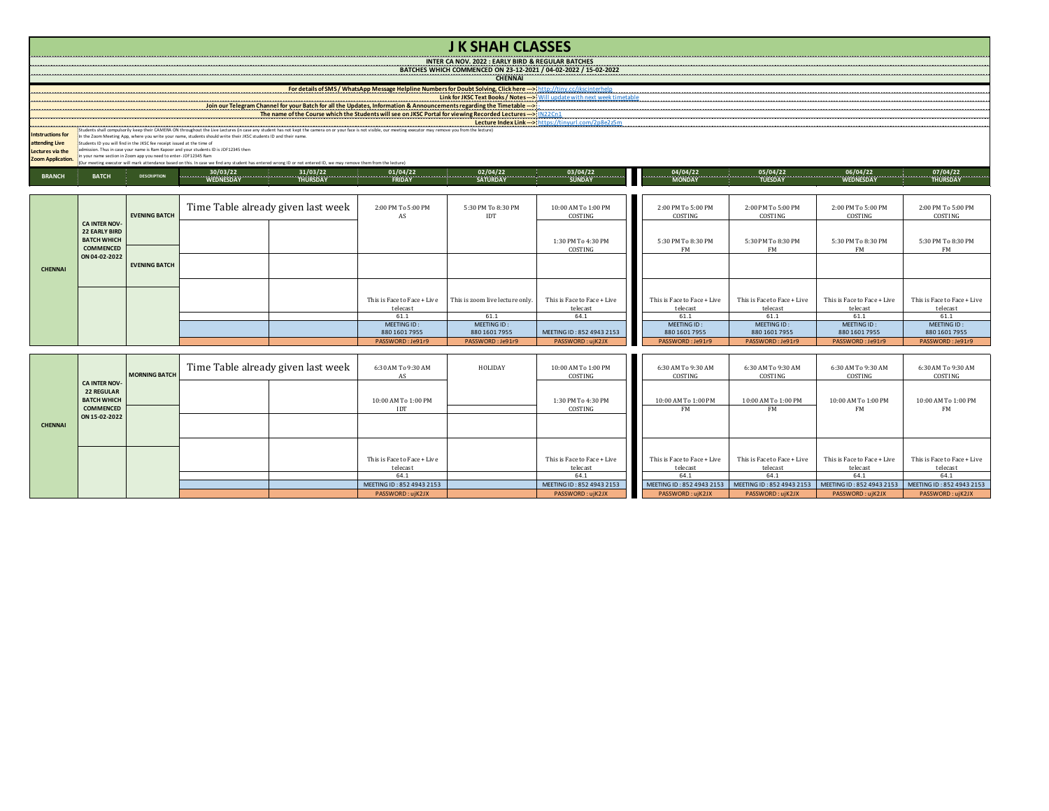|                                    |                                            |                                                                         |                                                                                                                 |                                                                                                                                                                    |                                         | <b>JK SHAH CLASSES</b>                                                                                                                                                                                                                                       |                                         |                                                                                                                                                                                                    |                                         |                                         |                                         |
|------------------------------------|--------------------------------------------|-------------------------------------------------------------------------|-----------------------------------------------------------------------------------------------------------------|--------------------------------------------------------------------------------------------------------------------------------------------------------------------|-----------------------------------------|--------------------------------------------------------------------------------------------------------------------------------------------------------------------------------------------------------------------------------------------------------------|-----------------------------------------|----------------------------------------------------------------------------------------------------------------------------------------------------------------------------------------------------|-----------------------------------------|-----------------------------------------|-----------------------------------------|
|                                    |                                            |                                                                         |                                                                                                                 |                                                                                                                                                                    |                                         | <b>INTER CA NOV. 2022 : EARLY BIRD &amp; REGULAR BATCHES</b>                                                                                                                                                                                                 |                                         |                                                                                                                                                                                                    |                                         |                                         |                                         |
|                                    |                                            |                                                                         |                                                                                                                 |                                                                                                                                                                    |                                         | BATCHES WHICH COMMENCED ON 23-12-2021 / 04-02-2022 / 15-02-2022                                                                                                                                                                                              |                                         |                                                                                                                                                                                                    |                                         |                                         |                                         |
|                                    |                                            |                                                                         |                                                                                                                 |                                                                                                                                                                    |                                         | <b>CHENNAI</b>                                                                                                                                                                                                                                               |                                         |                                                                                                                                                                                                    |                                         |                                         |                                         |
| ---------------------              |                                            |                                                                         |                                                                                                                 |                                                                                                                                                                    |                                         |                                                                                                                                                                                                                                                              |                                         | For details of SMS / WhatsApp Message Helpline Numbers for Doubt Solving, Click here -> http://tiny.cc/ikscinterhelp<br>Link for JKSC Text Books / Notes -> > Will update with next week timetable |                                         |                                         |                                         |
|                                    |                                            |                                                                         |                                                                                                                 |                                                                                                                                                                    |                                         | Join our Telegram Channel for your Batch for all the Updates, Information & Announcements regarding the Timetable -->                                                                                                                                        |                                         |                                                                                                                                                                                                    |                                         |                                         |                                         |
|                                    |                                            |                                                                         |                                                                                                                 |                                                                                                                                                                    |                                         |                                                                                                                                                                                                                                                              |                                         |                                                                                                                                                                                                    |                                         |                                         |                                         |
|                                    |                                            |                                                                         |                                                                                                                 |                                                                                                                                                                    |                                         |                                                                                                                                                                                                                                                              |                                         |                                                                                                                                                                                                    |                                         |                                         |                                         |
| <b>Intstructions for</b>           |                                            |                                                                         | n the Zoom Meeting App, where you write your name, students should write their JKSC students ID and their name. |                                                                                                                                                                    |                                         |                                                                                                                                                                                                                                                              |                                         |                                                                                                                                                                                                    |                                         |                                         |                                         |
| attending Live<br>Lectures via the |                                            | Students ID you will find in the IKSC fee receint issued at the time of | admission. Thus in case your name is Ram Kappor and your students ID is JDF12345 then                           |                                                                                                                                                                    |                                         |                                                                                                                                                                                                                                                              |                                         |                                                                                                                                                                                                    |                                         |                                         |                                         |
| Zoom Application.                  |                                            | vour name section in Zoom ann vou need to enter- IDE12345 Ram           |                                                                                                                 | (Our meeting executor will mark attendance based on this. In case we find any student has entered wrong ID or not entered ID, we may remove them from the lecture) |                                         |                                                                                                                                                                                                                                                              |                                         |                                                                                                                                                                                                    |                                         |                                         |                                         |
|                                    |                                            |                                                                         |                                                                                                                 |                                                                                                                                                                    |                                         |                                                                                                                                                                                                                                                              |                                         |                                                                                                                                                                                                    |                                         |                                         |                                         |
| <b>BRANCH</b>                      | <b>BATCH</b>                               | <b>DESCRIPTION</b>                                                      |                                                                                                                 |                                                                                                                                                                    |                                         | $\begin{bmatrix} 30/03/22 & 31/03/22 & 31/03/22 & 31/04/22 & 31/04/22 & 31/04/22 & 31/04/22 & 31/04/22 & 31/04/22 & 31/04/22 & 31/04/22 & 31/04/22 & 31/04/22 & 31/04/22 & 31/04/22 & 31/04/22 & 31/04/22 & 31/04/22 & 31/04/22 & 31/04/22 & 31/04/22 & 31/$ |                                         |                                                                                                                                                                                                    |                                         |                                         |                                         |
|                                    |                                            |                                                                         |                                                                                                                 |                                                                                                                                                                    |                                         |                                                                                                                                                                                                                                                              |                                         |                                                                                                                                                                                                    |                                         |                                         |                                         |
|                                    |                                            |                                                                         | Time Table already given last week                                                                              |                                                                                                                                                                    |                                         |                                                                                                                                                                                                                                                              |                                         |                                                                                                                                                                                                    |                                         |                                         |                                         |
|                                    |                                            | <b>EVENING BATCH</b>                                                    |                                                                                                                 |                                                                                                                                                                    | 2:00 PM To 5:00 PM<br>AS                | 5:30 PM To 8:30 PM<br><b>IDT</b>                                                                                                                                                                                                                             | 10:00 AM To 1:00 PM<br>COSTING          | 2:00 PM To 5:00 PM<br>COSTING                                                                                                                                                                      | 2:00 PM To 5:00 PM<br>COSTING           | 2:00 PM To 5:00 PM<br>COSTING           | 2:00 PM To 5:00 PM<br>COSTING           |
|                                    | <b>CA INTER NOV-</b>                       |                                                                         |                                                                                                                 |                                                                                                                                                                    |                                         |                                                                                                                                                                                                                                                              |                                         |                                                                                                                                                                                                    |                                         |                                         |                                         |
|                                    | <b>22 EARLY BIRD</b><br><b>BATCH WHICH</b> |                                                                         |                                                                                                                 |                                                                                                                                                                    |                                         |                                                                                                                                                                                                                                                              |                                         |                                                                                                                                                                                                    |                                         |                                         |                                         |
|                                    | <b>COMMENCED</b>                           |                                                                         |                                                                                                                 |                                                                                                                                                                    |                                         |                                                                                                                                                                                                                                                              | 1:30 PM To 4:30 PM<br>COSTING           | 5:30 PM To 8:30 PM<br><b>FM</b>                                                                                                                                                                    | 5:30 PM To 8:30 PM<br><b>FM</b>         | 5:30 PM To 8:30 PM<br>FM                | 5:30 PM To 8:30 PM<br><b>FM</b>         |
|                                    | ON 04-02-2022                              |                                                                         |                                                                                                                 |                                                                                                                                                                    |                                         |                                                                                                                                                                                                                                                              |                                         |                                                                                                                                                                                                    |                                         |                                         |                                         |
| <b>CHENNAI</b>                     |                                            | <b>EVENING BATCH</b>                                                    |                                                                                                                 |                                                                                                                                                                    |                                         |                                                                                                                                                                                                                                                              |                                         |                                                                                                                                                                                                    |                                         |                                         |                                         |
|                                    |                                            |                                                                         |                                                                                                                 |                                                                                                                                                                    |                                         |                                                                                                                                                                                                                                                              |                                         |                                                                                                                                                                                                    |                                         |                                         |                                         |
|                                    |                                            |                                                                         |                                                                                                                 |                                                                                                                                                                    |                                         |                                                                                                                                                                                                                                                              |                                         |                                                                                                                                                                                                    |                                         |                                         |                                         |
|                                    |                                            |                                                                         |                                                                                                                 |                                                                                                                                                                    | This is Face to Face + Live             | This is zoom live lecture only.                                                                                                                                                                                                                              | This is Face to Face + Live             | This is Face to Face + Live                                                                                                                                                                        | This is Face to Face + Live             | This is Face to Face + Live             | This is Face to Face + Live             |
|                                    |                                            |                                                                         |                                                                                                                 |                                                                                                                                                                    | telecast<br>61.1                        | 61.1                                                                                                                                                                                                                                                         | telecast<br>64.1                        | telecast<br>61.1                                                                                                                                                                                   | telecast<br>61.1                        | telecast<br>61.1                        | telecast<br>61.1                        |
|                                    |                                            |                                                                         |                                                                                                                 |                                                                                                                                                                    | MEETING ID:                             | MEETING ID:                                                                                                                                                                                                                                                  |                                         | MEETING ID:                                                                                                                                                                                        | MEETING ID:                             | MEETING ID:                             | MEETING ID:                             |
|                                    |                                            |                                                                         |                                                                                                                 |                                                                                                                                                                    | 880 1601 7955                           | 880 1601 7955                                                                                                                                                                                                                                                | MEETING ID: 852 4943 2153               | 880 1601 7955                                                                                                                                                                                      | 880 1601 7955                           | 880 1601 7955                           | 880 1601 7955                           |
|                                    |                                            |                                                                         |                                                                                                                 |                                                                                                                                                                    | PASSWORD: Je91r9                        | PASSWORD: Je91r9                                                                                                                                                                                                                                             | PASSWORD: ujK2JX                        | PASSWORD: Je91r9                                                                                                                                                                                   | PASSWORD: Je91r9                        | PASSWORD: Je91r9                        | PASSWORD: Je91r9                        |
|                                    |                                            |                                                                         |                                                                                                                 |                                                                                                                                                                    |                                         |                                                                                                                                                                                                                                                              |                                         |                                                                                                                                                                                                    |                                         |                                         |                                         |
|                                    |                                            |                                                                         | Time Table already given last week                                                                              |                                                                                                                                                                    | 6:30 AM To 9:30 AM                      | HOLIDAY                                                                                                                                                                                                                                                      | 10:00 AM To 1:00 PM                     | 6:30 AM To 9:30 AM                                                                                                                                                                                 | 6:30 AM To 9:30 AM                      | 6:30 AM To 9:30 AM                      | 6:30 AM To 9:30 AM                      |
|                                    |                                            | <b>MORNING BATCH</b>                                                    |                                                                                                                 |                                                                                                                                                                    | AS                                      |                                                                                                                                                                                                                                                              | COSTING                                 | COSTING                                                                                                                                                                                            | COSTING                                 | COSTING                                 | COSTING                                 |
|                                    | <b>CA INTER NOV</b><br><b>22 REGULAR</b>   |                                                                         |                                                                                                                 |                                                                                                                                                                    |                                         |                                                                                                                                                                                                                                                              |                                         |                                                                                                                                                                                                    |                                         |                                         |                                         |
|                                    | <b>BATCH WHICH</b>                         |                                                                         |                                                                                                                 |                                                                                                                                                                    | 10:00 AM To 1:00 PM                     |                                                                                                                                                                                                                                                              | 1:30 PM To 4:30 PM                      | 10:00 AM To 1:00 PM                                                                                                                                                                                | 10:00 AM To 1:00 PM                     | 10:00 AM To 1:00 PM                     | 10:00 AM To 1:00 PM                     |
|                                    | COMMENCED                                  |                                                                         |                                                                                                                 |                                                                                                                                                                    | IDT                                     |                                                                                                                                                                                                                                                              | COSTING                                 | <b>FM</b>                                                                                                                                                                                          | FM                                      | FM                                      | FM                                      |
| <b>CHENNAI</b>                     | ON 15-02-2022                              |                                                                         |                                                                                                                 |                                                                                                                                                                    |                                         |                                                                                                                                                                                                                                                              |                                         |                                                                                                                                                                                                    |                                         |                                         |                                         |
|                                    |                                            |                                                                         |                                                                                                                 |                                                                                                                                                                    |                                         |                                                                                                                                                                                                                                                              |                                         |                                                                                                                                                                                                    |                                         |                                         |                                         |
|                                    |                                            |                                                                         |                                                                                                                 |                                                                                                                                                                    |                                         |                                                                                                                                                                                                                                                              |                                         |                                                                                                                                                                                                    |                                         |                                         |                                         |
|                                    |                                            |                                                                         |                                                                                                                 |                                                                                                                                                                    |                                         |                                                                                                                                                                                                                                                              |                                         |                                                                                                                                                                                                    |                                         |                                         |                                         |
|                                    |                                            |                                                                         |                                                                                                                 |                                                                                                                                                                    | This is Face to Face + Live<br>telecast |                                                                                                                                                                                                                                                              | This is Face to Face + Live<br>telecast | This is Face to Face + Live<br>telecast                                                                                                                                                            | This is Face to Face + Live<br>telecast | This is Face to Face + Live<br>telecast | This is Face to Face + Live<br>telecast |
|                                    |                                            |                                                                         |                                                                                                                 |                                                                                                                                                                    | 64.1                                    |                                                                                                                                                                                                                                                              | 64.1                                    | 64.1                                                                                                                                                                                               | 64.1                                    | 64.1                                    | 64.1                                    |
|                                    |                                            |                                                                         |                                                                                                                 |                                                                                                                                                                    | MEETING ID: 852 4943 2153               |                                                                                                                                                                                                                                                              | MEETING ID: 852 4943 2153               | MEETING ID: 852 4943 2153                                                                                                                                                                          | MEETING ID: 852 4943 2153               | MEETING ID: 852 4943 2153               | MEETING ID: 852 4943 2153               |
|                                    |                                            |                                                                         |                                                                                                                 |                                                                                                                                                                    | PASSWORD: ujK2JX                        |                                                                                                                                                                                                                                                              | PASSWORD: ujK2JX                        | PASSWORD: ujK2JX                                                                                                                                                                                   | PASSWORD: ujK2JX                        | PASSWORD: ujK2JX                        | PASSWORD: ujK2JX                        |